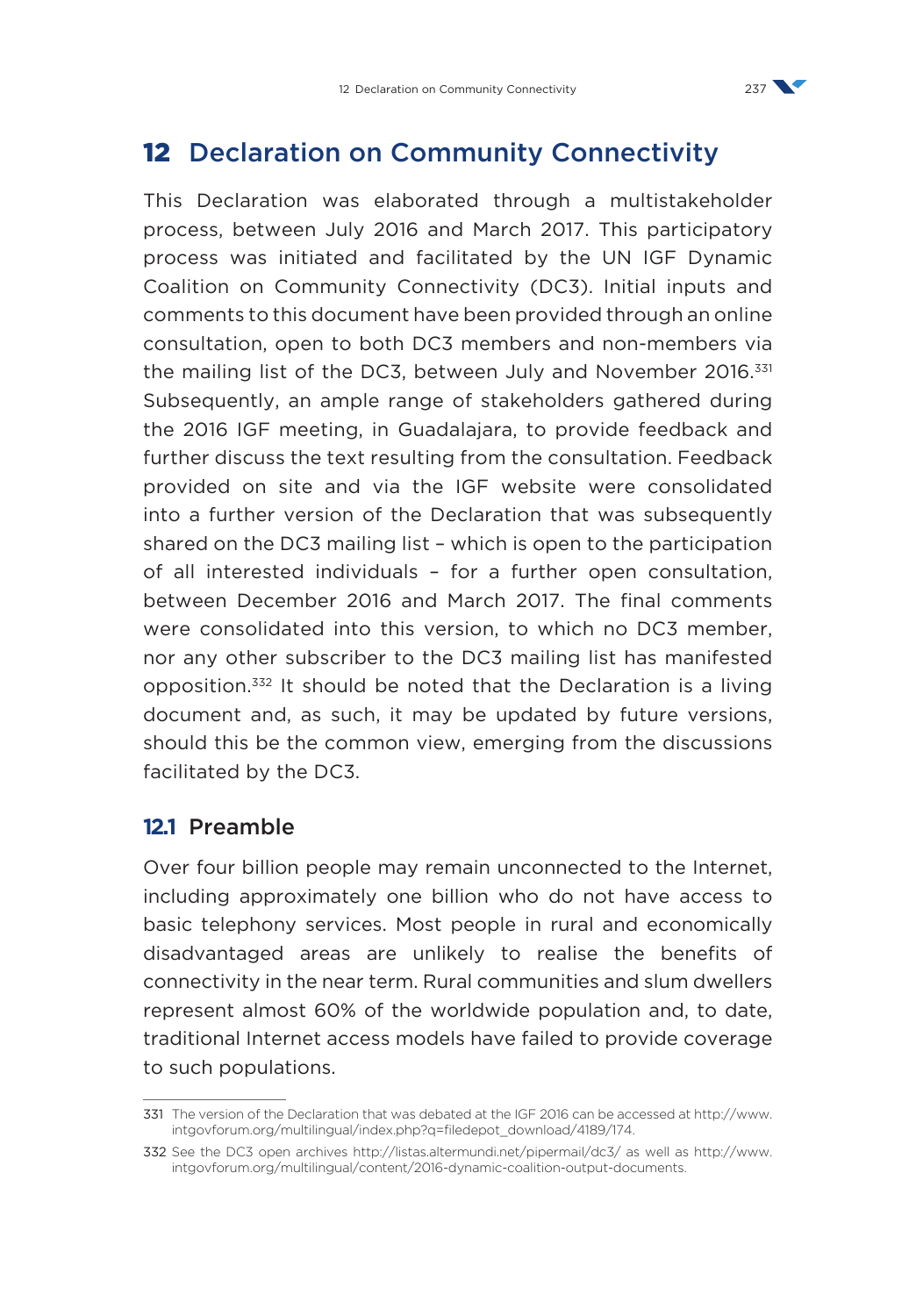

# 12 Declaration on Community Connectivity

This Declaration was elaborated through a multistakeholder process, between July 2016 and March 2017. This participatory process was initiated and facilitated by the UN IGF Dynamic Coalition on Community Connectivity (DC3). Initial inputs and comments to this document have been provided through an online consultation, open to both DC3 members and non-members via the mailing list of the DC3, between July and November 2016.<sup>331</sup> Subsequently, an ample range of stakeholders gathered during the 2016 IGF meeting, in Guadalajara, to provide feedback and further discuss the text resulting from the consultation. Feedback provided on site and via the IGF website were consolidated into a further version of the Declaration that was subsequently shared on the DC3 mailing list – which is open to the participation of all interested individuals – for a further open consultation, between December 2016 and March 2017. The final comments were consolidated into this version, to which no DC3 member, nor any other subscriber to the DC3 mailing list has manifested opposition.332 It should be noted that the Declaration is a living document and, as such, it may be updated by future versions, should this be the common view, emerging from the discussions facilitated by the DC3.

#### **12.1** Preamble

Over four billion people may remain unconnected to the Internet, including approximately one billion who do not have access to basic telephony services. Most people in rural and economically disadvantaged areas are unlikely to realise the benefits of connectivity in the near term. Rural communities and slum dwellers represent almost 60% of the worldwide population and, to date, traditional Internet access models have failed to provide coverage to such populations.

<sup>331</sup> The version of the Declaration that was debated at the IGF 2016 can be accessed at [http://www.](http://www.intgovforum.org/multilingual/index.php?q=filedepot_download/4189/174) [intgovforum.org/multilingual/index.php?q=filedepot\\_download/4189/174](http://www.intgovforum.org/multilingual/index.php?q=filedepot_download/4189/174).

<sup>332</sup> See the DC3 open archives <http://listas.altermundi.net/pipermail/dc3/> as well as [http://www.](http://www.intgovforum.org/multilingual/content/2016-dynamic-coalition-output-documents) [intgovforum.org/multilingual/content/2016-dynamic-coalition-output-documents.](http://www.intgovforum.org/multilingual/content/2016-dynamic-coalition-output-documents)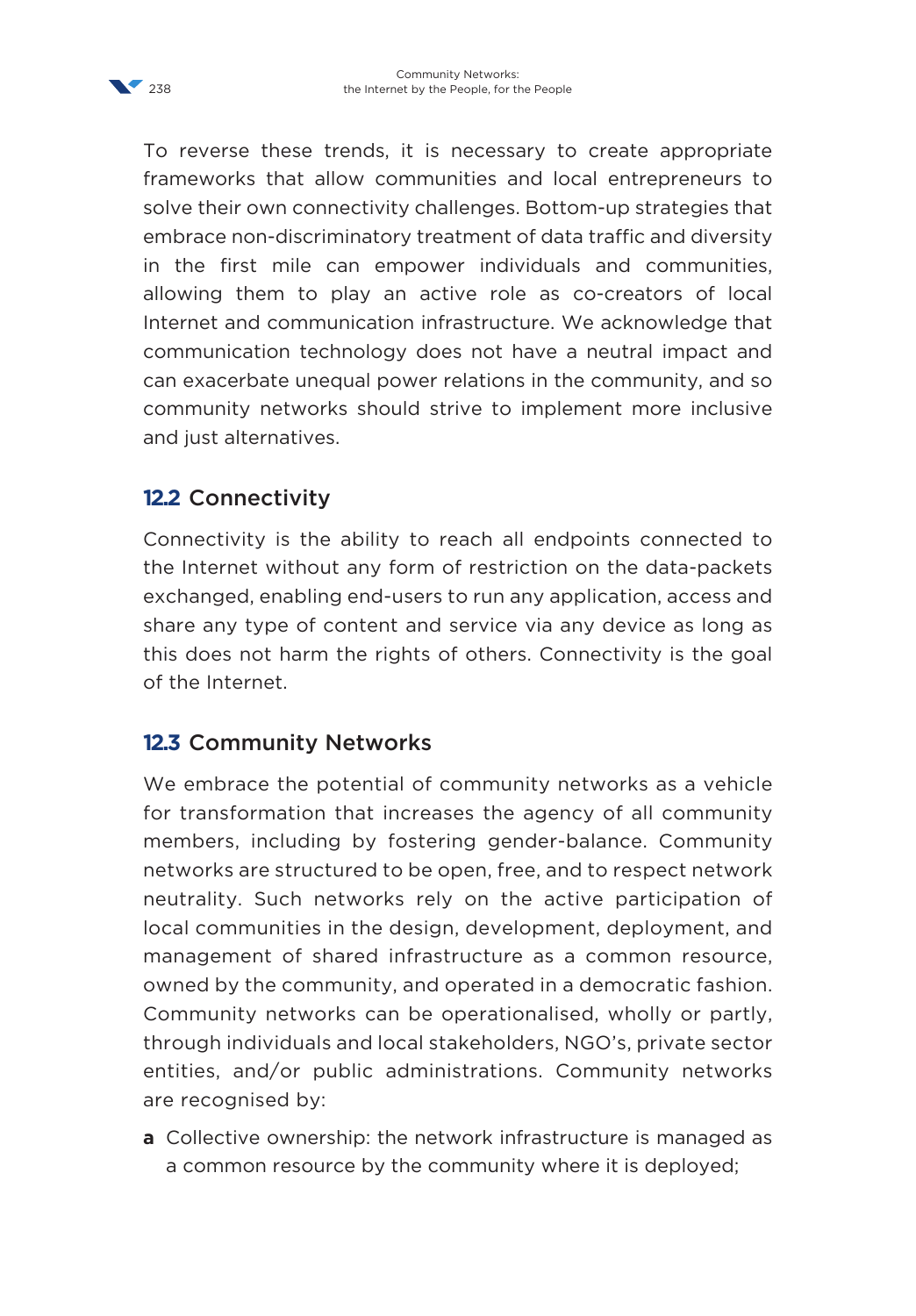

To reverse these trends, it is necessary to create appropriate frameworks that allow communities and local entrepreneurs to solve their own connectivity challenges. Bottom-up strategies that embrace non-discriminatory treatment of data traffic and diversity in the first mile can empower individuals and communities, allowing them to play an active role as co-creators of local Internet and communication infrastructure. We acknowledge that communication technology does not have a neutral impact and can exacerbate unequal power relations in the community, and so community networks should strive to implement more inclusive and just alternatives.

## **12.2** Connectivity

Connectivity is the ability to reach all endpoints connected to the Internet without any form of restriction on the data-packets exchanged, enabling end-users to run any application, access and share any type of content and service via any device as long as this does not harm the rights of others. Connectivity is the goal of the Internet.

### **12.3** Community Networks

We embrace the potential of community networks as a vehicle for transformation that increases the agency of all community members, including by fostering gender-balance. Community networks are structured to be open, free, and to respect network neutrality. Such networks rely on the active participation of local communities in the design, development, deployment, and management of shared infrastructure as a common resource, owned by the community, and operated in a democratic fashion. Community networks can be operationalised, wholly or partly, through individuals and local stakeholders, NGO's, private sector entities, and/or public administrations. Community networks are recognised by:

**a** Collective ownership: the network infrastructure is managed as a common resource by the community where it is deployed;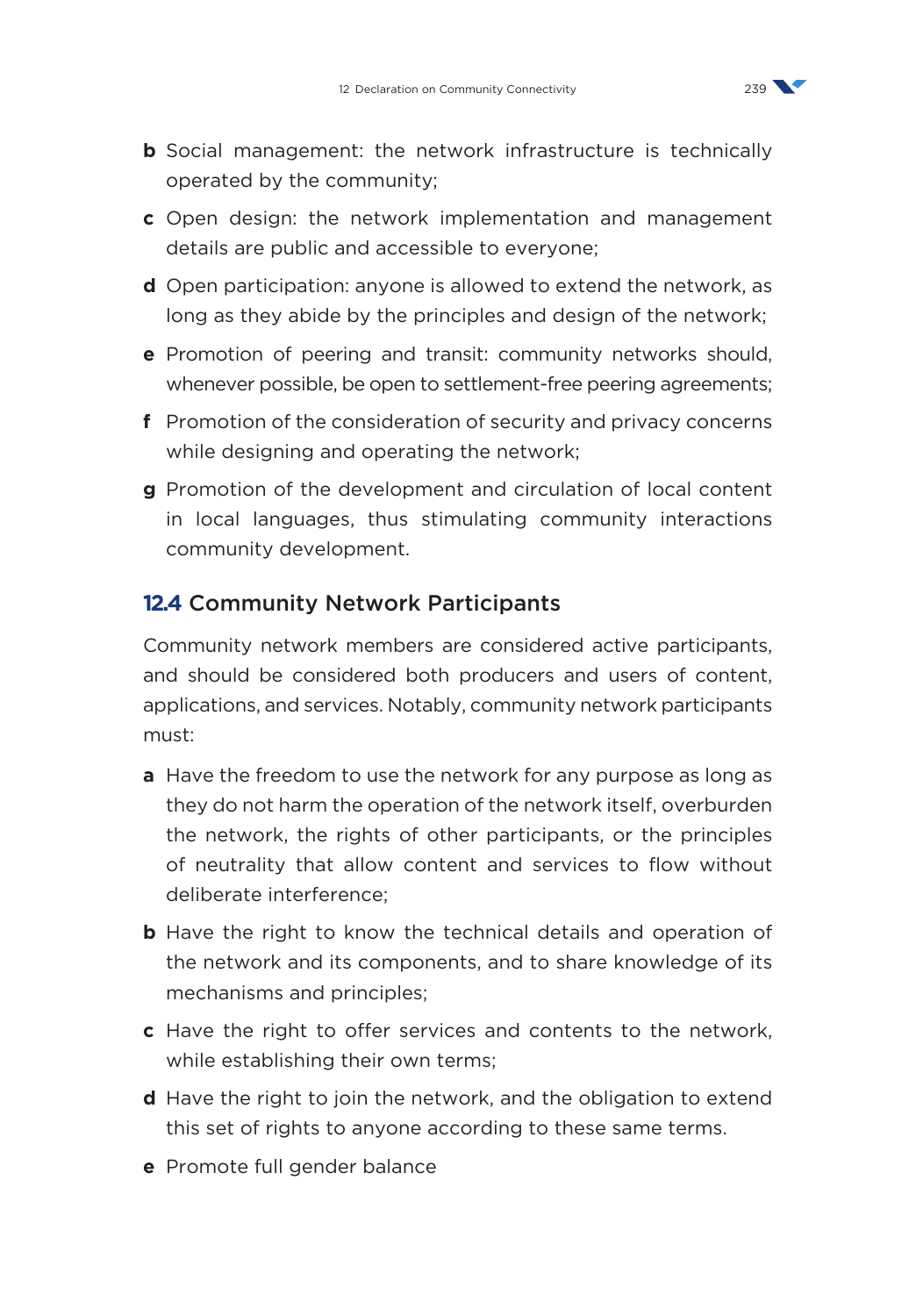

- **b** Social management: the network infrastructure is technically operated by the community;
- **c** Open design: the network implementation and management details are public and accessible to everyone;
- **d** Open participation: anyone is allowed to extend the network, as long as they abide by the principles and design of the network;
- **e** Promotion of peering and transit: community networks should, whenever possible, be open to settlement-free peering agreements;
- **f** Promotion of the consideration of security and privacy concerns while designing and operating the network;
- **g** Promotion of the development and circulation of local content in local languages, thus stimulating community interactions community development.

#### **12.4** Community Network Participants

Community network members are considered active participants, and should be considered both producers and users of content, applications, and services. Notably, community network participants must:

- **a** Have the freedom to use the network for any purpose as long as they do not harm the operation of the network itself, overburden the network, the rights of other participants, or the principles of neutrality that allow content and services to flow without deliberate interference;
- **b** Have the right to know the technical details and operation of the network and its components, and to share knowledge of its mechanisms and principles;
- **c** Have the right to offer services and contents to the network, while establishing their own terms;
- **d** Have the right to join the network, and the obligation to extend this set of rights to anyone according to these same terms.
- **e** Promote full gender balance